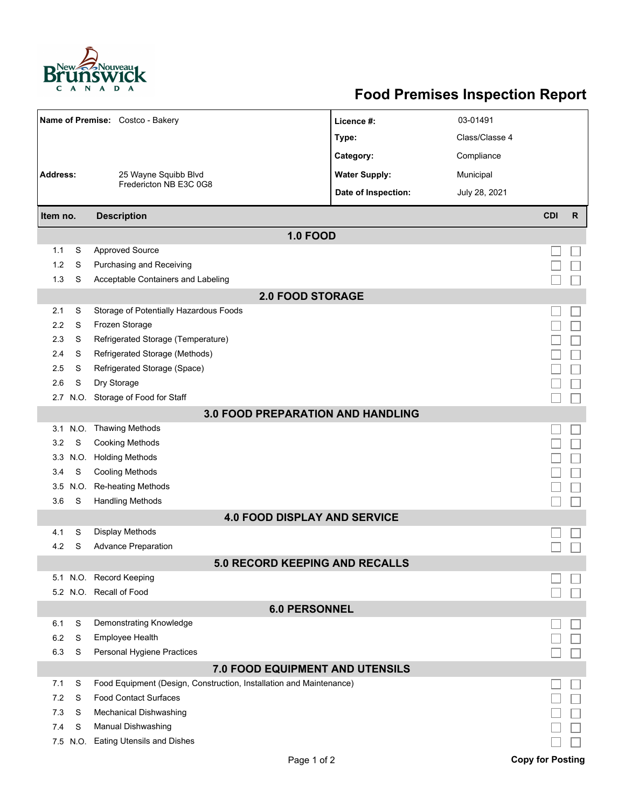

## **Food Premises Inspection Report**

|                                          |          | Name of Premise: Costco - Bakery                                    | Licence #:           | 03-01491       |                         |              |  |  |  |
|------------------------------------------|----------|---------------------------------------------------------------------|----------------------|----------------|-------------------------|--------------|--|--|--|
|                                          |          |                                                                     | Type:                | Class/Classe 4 |                         |              |  |  |  |
|                                          |          |                                                                     | Category:            | Compliance     |                         |              |  |  |  |
| <b>Address:</b>                          |          | 25 Wayne Squibb Blvd<br>Fredericton NB E3C 0G8                      | <b>Water Supply:</b> | Municipal      |                         |              |  |  |  |
|                                          |          |                                                                     | Date of Inspection:  | July 28, 2021  |                         |              |  |  |  |
|                                          |          |                                                                     |                      |                |                         |              |  |  |  |
| Item no.                                 |          | <b>Description</b>                                                  |                      |                | <b>CDI</b>              | $\mathsf{R}$ |  |  |  |
|                                          |          | <b>1.0 FOOD</b>                                                     |                      |                |                         |              |  |  |  |
| 1.1                                      | S        | <b>Approved Source</b>                                              |                      |                |                         |              |  |  |  |
| 1.2                                      | S        | Purchasing and Receiving                                            |                      |                |                         |              |  |  |  |
| 1.3                                      | S        | Acceptable Containers and Labeling                                  |                      |                |                         |              |  |  |  |
| <b>2.0 FOOD STORAGE</b>                  |          |                                                                     |                      |                |                         |              |  |  |  |
| 2.1                                      | S        | Storage of Potentially Hazardous Foods                              |                      |                |                         |              |  |  |  |
| 2.2                                      | S        | Frozen Storage                                                      |                      |                |                         |              |  |  |  |
| 2.3                                      | S        | Refrigerated Storage (Temperature)                                  |                      |                |                         |              |  |  |  |
| 2.4                                      | S        | Refrigerated Storage (Methods)                                      |                      |                |                         |              |  |  |  |
| 2.5                                      | S        | Refrigerated Storage (Space)                                        |                      |                |                         |              |  |  |  |
| 2.6                                      | S        | Dry Storage                                                         |                      |                |                         |              |  |  |  |
| 2.7                                      |          | N.O. Storage of Food for Staff                                      |                      |                |                         |              |  |  |  |
| <b>3.0 FOOD PREPARATION AND HANDLING</b> |          |                                                                     |                      |                |                         |              |  |  |  |
|                                          | 3.1 N.O. | Thawing Methods                                                     |                      |                |                         |              |  |  |  |
| 3.2                                      | S        | <b>Cooking Methods</b>                                              |                      |                |                         |              |  |  |  |
| 3.3                                      | N.O.     | <b>Holding Methods</b>                                              |                      |                |                         |              |  |  |  |
| 3.4                                      | S        | <b>Cooling Methods</b>                                              |                      |                |                         |              |  |  |  |
| 3.5                                      | N.O.     | <b>Re-heating Methods</b>                                           |                      |                |                         |              |  |  |  |
| 3.6                                      | S        | <b>Handling Methods</b>                                             |                      |                |                         |              |  |  |  |
|                                          |          | <b>4.0 FOOD DISPLAY AND SERVICE</b>                                 |                      |                |                         |              |  |  |  |
| 4.1                                      | S        | <b>Display Methods</b>                                              |                      |                |                         |              |  |  |  |
| 4.2                                      | S        | <b>Advance Preparation</b>                                          |                      |                |                         |              |  |  |  |
| <b>5.0 RECORD KEEPING AND RECALLS</b>    |          |                                                                     |                      |                |                         |              |  |  |  |
|                                          |          | 5.1 N.O. Record Keeping                                             |                      |                |                         |              |  |  |  |
|                                          |          | 5.2 N.O. Recall of Food                                             |                      |                |                         |              |  |  |  |
| <b>6.0 PERSONNEL</b>                     |          |                                                                     |                      |                |                         |              |  |  |  |
| 6.1                                      | S        | Demonstrating Knowledge                                             |                      |                |                         |              |  |  |  |
| 6.2                                      | S        | <b>Employee Health</b>                                              |                      |                |                         |              |  |  |  |
| 6.3                                      | S        | Personal Hygiene Practices                                          |                      |                |                         |              |  |  |  |
| 7.0 FOOD EQUIPMENT AND UTENSILS          |          |                                                                     |                      |                |                         |              |  |  |  |
| 7.1                                      | S        | Food Equipment (Design, Construction, Installation and Maintenance) |                      |                |                         |              |  |  |  |
| 7.2                                      | S        | <b>Food Contact Surfaces</b>                                        |                      |                |                         |              |  |  |  |
| 7.3                                      | S        | <b>Mechanical Dishwashing</b>                                       |                      |                |                         |              |  |  |  |
| 7.4                                      | S        | <b>Manual Dishwashing</b>                                           |                      |                |                         |              |  |  |  |
|                                          | 7.5 N.O. | <b>Eating Utensils and Dishes</b>                                   |                      |                |                         |              |  |  |  |
|                                          |          | Page 1 of 2                                                         |                      |                | <b>Copy for Posting</b> |              |  |  |  |